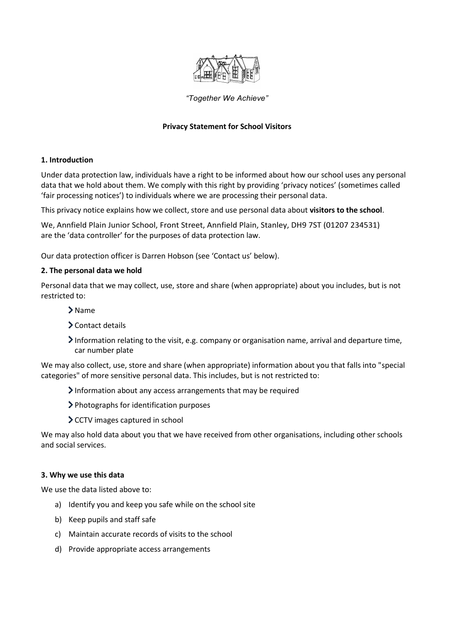

## *"Together We Achieve"*

## **Privacy Statement for School Visitors**

#### **1. Introduction**

Under data protection law, individuals have a right to be informed about how our school uses any personal data that we hold about them. We comply with this right by providing 'privacy notices' (sometimes called 'fair processing notices') to individuals where we are processing their personal data.

This privacy notice explains how we collect, store and use personal data about **visitors to the school**.

We, Annfield Plain Junior School, Front Street, Annfield Plain, Stanley, DH9 7ST (01207 234531) are the 'data controller' for the purposes of data protection law.

Our data protection officer is Darren Hobson (see 'Contact us' below).

#### **2. The personal data we hold**

Personal data that we may collect, use, store and share (when appropriate) about you includes, but is not restricted to:

- > Name
- Contact details
- Information relating to the visit, e.g. company or organisation name, arrival and departure time, car number plate

We may also collect, use, store and share (when appropriate) information about you that falls into "special categories" of more sensitive personal data. This includes, but is not restricted to:

- Information about any access arrangements that may be required
- Photographs for identification purposes
- > CCTV images captured in school

We may also hold data about you that we have received from other organisations, including other schools and social services.

#### **3. Why we use this data**

We use the data listed above to:

- a) Identify you and keep you safe while on the school site
- b) Keep pupils and staff safe
- c) Maintain accurate records of visits to the school
- d) Provide appropriate access arrangements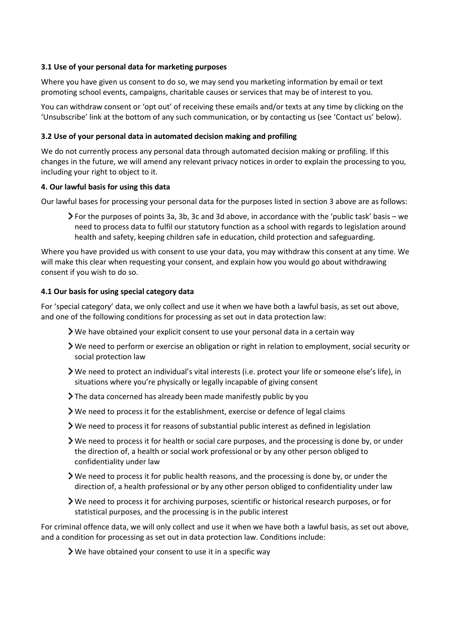## **3.1 Use of your personal data for marketing purposes**

Where you have given us consent to do so, we may send you marketing information by email or text promoting school events, campaigns, charitable causes or services that may be of interest to you.

You can withdraw consent or 'opt out' of receiving these emails and/or texts at any time by clicking on the 'Unsubscribe' link at the bottom of any such communication, or by contacting us (see 'Contact us' below).

## **3.2 Use of your personal data in automated decision making and profiling**

We do not currently process any personal data through automated decision making or profiling. If this changes in the future, we will amend any relevant privacy notices in order to explain the processing to you, including your right to object to it.

## **4. Our lawful basis for using this data**

Our lawful bases for processing your personal data for the purposes listed in section 3 above are as follows:

For the purposes of points 3a, 3b, 3c and 3d above, in accordance with the 'public task' basis – we need to process data to fulfil our statutory function as a school with regards to legislation around health and safety, keeping children safe in education, child protection and safeguarding.

Where you have provided us with consent to use your data, you may withdraw this consent at any time. We will make this clear when requesting your consent, and explain how you would go about withdrawing consent if you wish to do so.

## **4.1 Our basis for using special category data**

For 'special category' data, we only collect and use it when we have both a lawful basis, as set out above, and one of the following conditions for processing as set out in data protection law:

- $\triangleright$  We have obtained your explicit consent to use your personal data in a certain way
- We need to perform or exercise an obligation or right in relation to employment, social security or social protection law
- We need to protect an individual's vital interests (i.e. protect your life or someone else's life), in situations where you're physically or legally incapable of giving consent
- The data concerned has already been made manifestly public by you
- $\blacktriangleright$  We need to process it for the establishment, exercise or defence of legal claims
- We need to process it for reasons of substantial public interest as defined in legislation
- We need to process it for health or social care purposes, and the processing is done by, or under the direction of, a health or social work professional or by any other person obliged to confidentiality under law
- We need to process it for public health reasons, and the processing is done by, or under the direction of, a health professional or by any other person obliged to confidentiality under law
- We need to process it for archiving purposes, scientific or historical research purposes, or for statistical purposes, and the processing is in the public interest

For criminal offence data, we will only collect and use it when we have both a lawful basis, as set out above, and a condition for processing as set out in data protection law. Conditions include:

We have obtained your consent to use it in a specific way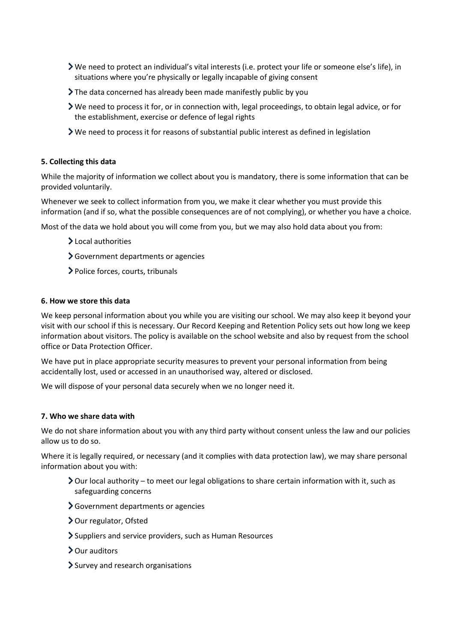- We need to protect an individual's vital interests (i.e. protect your life or someone else's life), in situations where you're physically or legally incapable of giving consent
- The data concerned has already been made manifestly public by you
- We need to process it for, or in connection with, legal proceedings, to obtain legal advice, or for the establishment, exercise or defence of legal rights
- $\triangleright$  We need to process it for reasons of substantial public interest as defined in legislation

## **5. Collecting this data**

While the majority of information we collect about you is mandatory, there is some information that can be provided voluntarily.

Whenever we seek to collect information from you, we make it clear whether you must provide this information (and if so, what the possible consequences are of not complying), or whether you have a choice.

Most of the data we hold about you will come from you, but we may also hold data about you from:

- >Local authorities
- Government departments or agencies
- Police forces, courts, tribunals

#### **6. How we store this data**

We keep personal information about you while you are visiting our school. We may also keep it beyond your visit with our school if this is necessary. Our Record Keeping and Retention Policy sets out how long we keep information about visitors. The policy is available on the school website and also by request from the school office or Data Protection Officer.

We have put in place appropriate security measures to prevent your personal information from being accidentally lost, used or accessed in an unauthorised way, altered or disclosed.

We will dispose of your personal data securely when we no longer need it.

#### **7. Who we share data with**

We do not share information about you with any third party without consent unless the law and our policies allow us to do so.

Where it is legally required, or necessary (and it complies with data protection law), we may share personal information about you with:

- $\geq$  Our local authority to meet our legal obligations to share certain information with it, such as safeguarding concerns
- Government departments or agencies
- > Our regulator, Ofsted
- Suppliers and service providers, such as Human Resources
- > Our auditors
- $\sum$  Survey and research organisations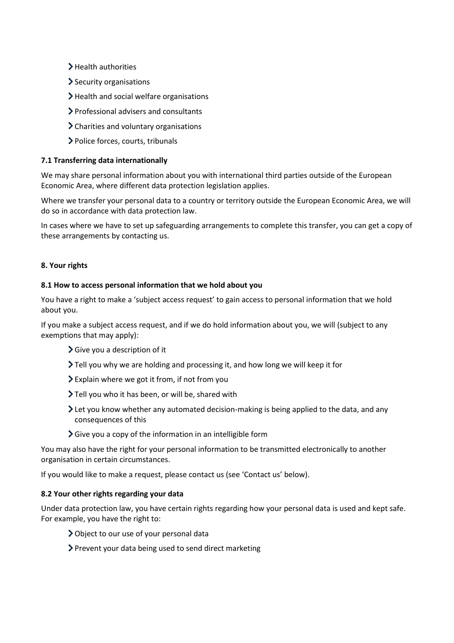- > Health authorities
- Security organisations
- > Health and social welfare organisations
- Professional advisers and consultants
- Charities and voluntary organisations
- Police forces, courts, tribunals

# **7.1 Transferring data internationally**

We may share personal information about you with international third parties outside of the European Economic Area, where different data protection legislation applies.

Where we transfer your personal data to a country or territory outside the European Economic Area, we will do so in accordance with data protection law.

In cases where we have to set up safeguarding arrangements to complete this transfer, you can get a copy of these arrangements by contacting us.

## **8. Your rights**

## **8.1 How to access personal information that we hold about you**

You have a right to make a 'subject access request' to gain access to personal information that we hold about you.

If you make a subject access request, and if we do hold information about you, we will (subject to any exemptions that may apply):

- Give you a description of it
- Tell you why we are holding and processing it, and how long we will keep it for
- Explain where we got it from, if not from you
- > Tell you who it has been, or will be, shared with
- Let you know whether any automated decision-making is being applied to the data, and any consequences of this
- $\sum$  Give you a copy of the information in an intelligible form

You may also have the right for your personal information to be transmitted electronically to another organisation in certain circumstances.

If you would like to make a request, please contact us (see 'Contact us' below).

#### **8.2 Your other rights regarding your data**

Under data protection law, you have certain rights regarding how your personal data is used and kept safe. For example, you have the right to:

- Object to our use of your personal data
- Prevent your data being used to send direct marketing